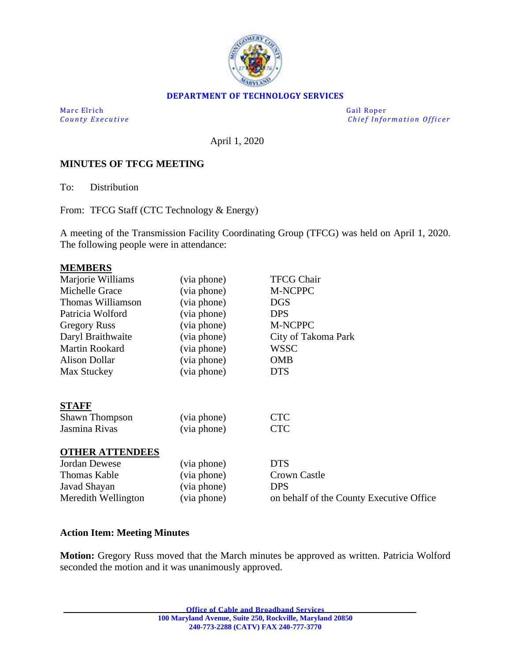

### **DEPARTMENT OF TECHNOLOGY SERVICES**

Marc Elrich Gail Roper

*County Executive* **Executive** *County Executive Chief Information Officer* 

April 1, 2020

### **MINUTES OF TFCG MEETING**

To: Distribution

From: TFCG Staff (CTC Technology & Energy)

A meeting of the Transmission Facility Coordinating Group (TFCG) was held on April 1, 2020. The following people were in attendance:

#### **MEMBERS**

| Marjorie Williams      | (via phone) | <b>TFCG Chair</b>                        |
|------------------------|-------------|------------------------------------------|
| Michelle Grace         | (via phone) | M-NCPPC                                  |
| Thomas Williamson      | (via phone) | <b>DGS</b>                               |
| Patricia Wolford       | (via phone) | <b>DPS</b>                               |
| <b>Gregory Russ</b>    | (via phone) | M-NCPPC                                  |
| Daryl Braithwaite      | (via phone) | City of Takoma Park                      |
| <b>Martin Rookard</b>  | (via phone) | <b>WSSC</b>                              |
| <b>Alison Dollar</b>   | (via phone) | <b>OMB</b>                               |
| Max Stuckey            | (via phone) | <b>DTS</b>                               |
|                        |             |                                          |
|                        |             |                                          |
| <b>STAFF</b>           |             |                                          |
| <b>Shawn Thompson</b>  | (via phone) | <b>CTC</b>                               |
| Jasmina Rivas          | (via phone) | <b>CTC</b>                               |
|                        |             |                                          |
| <b>OTHER ATTENDEES</b> |             |                                          |
| <b>Jordan Dewese</b>   | (via phone) | <b>DTS</b>                               |
| <b>Thomas Kable</b>    | (via phone) | Crown Castle                             |
| Javad Shayan           | (via phone) | <b>DPS</b>                               |
| Meredith Wellington    | (via phone) | on behalf of the County Executive Office |

### **Action Item: Meeting Minutes**

**Motion:** Gregory Russ moved that the March minutes be approved as written. Patricia Wolford seconded the motion and it was unanimously approved.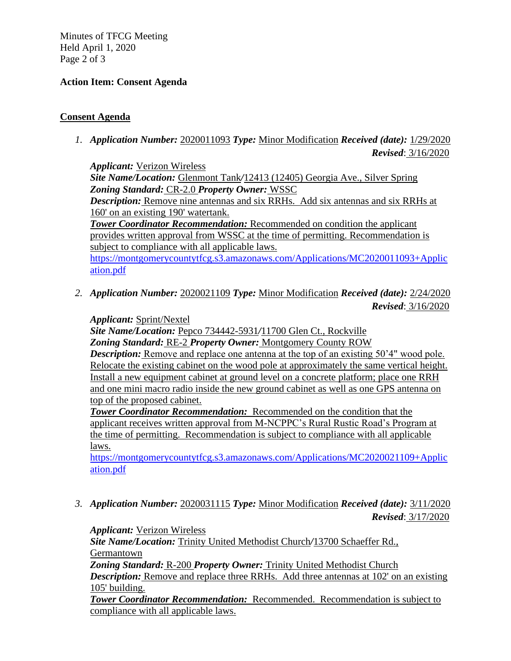Minutes of TFCG Meeting Held April 1, 2020 Page 2 of 3

# **Action Item: Consent Agenda**

## **Consent Agenda**

*1. Application Number:* 2020011093 *Type:* Minor Modification *Received (date):* 1/29/2020 *Revised*: 3/16/2020

*Applicant:* Verizon Wireless *Site Name/Location:* Glenmont Tank*/*12413 (12405) Georgia Ave., Silver Spring *Zoning Standard:* CR-2.0 *Property Owner:* WSSC *Description:* Remove nine antennas and six RRHs. Add six antennas and six RRHs at 160' on an existing 190' watertank. *Tower Coordinator Recommendation:* Recommended on condition the applicant provides written approval from WSSC at the time of permitting. Recommendation is subject to compliance with all applicable laws. [https://montgomerycountytfcg.s3.amazonaws.com/Applications/MC2020011093+Applic](https://montgomerycountytfcg.s3.amazonaws.com/Applications/MC2020011093+Application.pdf) [ation.pdf](https://montgomerycountytfcg.s3.amazonaws.com/Applications/MC2020011093+Application.pdf)

*2. Application Number:* 2020021109 *Type:* Minor Modification *Received (date):* 2/24/2020 *Revised*: 3/16/2020

*Applicant:* Sprint/Nextel

*Site Name/Location:* Pepco 734442-5931*/*11700 Glen Ct., Rockville *Zoning Standard:* RE-2 *Property Owner:* Montgomery County ROW *Description:* Remove and replace one antenna at the top of an existing 50'4" wood pole. Relocate the existing cabinet on the wood pole at approximately the same vertical height. Install a new equipment cabinet at ground level on a concrete platform; place one RRH and one mini macro radio inside the new ground cabinet as well as one GPS antenna on top of the proposed cabinet.

*Tower Coordinator Recommendation:* Recommended on the condition that the applicant receives written approval from M-NCPPC's Rural Rustic Road's Program at the time of permitting. Recommendation is subject to compliance with all applicable laws.

[https://montgomerycountytfcg.s3.amazonaws.com/Applications/MC2020021109+Applic](https://montgomerycountytfcg.s3.amazonaws.com/Applications/MC2020021109+Application.pdf) [ation.pdf](https://montgomerycountytfcg.s3.amazonaws.com/Applications/MC2020021109+Application.pdf)

*3. Application Number:* 2020031115 *Type:* Minor Modification *Received (date):* 3/11/2020 *Revised*: 3/17/2020

*Applicant:* Verizon Wireless

*Site Name/Location:* Trinity United Methodist Church*/*13700 Schaeffer Rd., Germantown

*Zoning Standard:* R-200 *Property Owner:* Trinity United Methodist Church *Description:* Remove and replace three RRHs. Add three antennas at 102' on an existing 105' building.

*Tower Coordinator Recommendation:* Recommended. Recommendation is subject to compliance with all applicable laws.